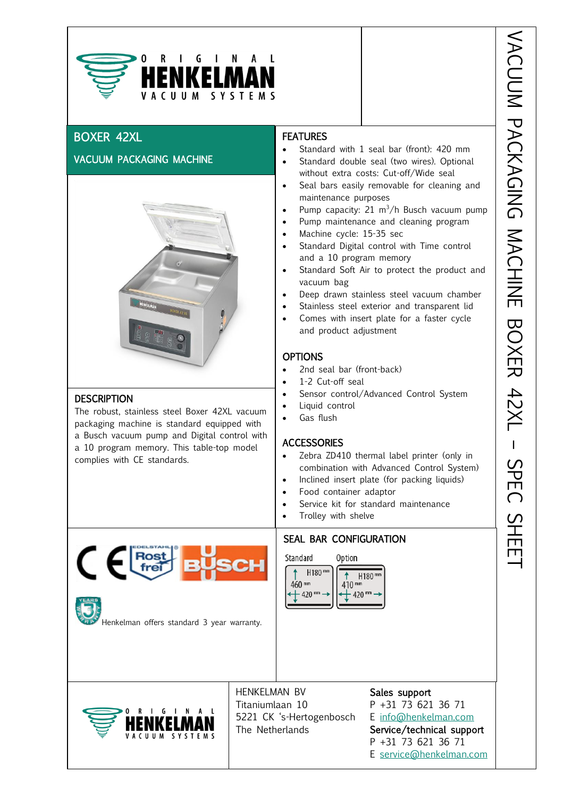

# BOXER 42XL

ł

## VACUUM PACKAGING MACHINE



#### **DESCRIPTION**

The robust, stainless steel Boxer 42XL vacuum packaging machine is standard equipped with a Busch vacuum pump and Digital control with a 10 program memory. This table-top model complies with CE standards.

#### **FEATURES**

- Standard with 1 seal bar (front): 420 mm
- Standard double seal (two wires). Optional without extra costs: Cut-off/Wide seal
- Seal bars easily removable for cleaning and maintenance purposes
- $\frac{1}{2}$ Pump capacity: 21 m<sup>3</sup>/h Busch vacuum pump
- Pump maintenance and cleaning program
- Machine cycle: 15-35 sec
- Standard Digital control with Time control and a 10 program memory
- Standard Soft Air to protect the product and vacuum bag
- Deep drawn stainless steel vacuum chamber
- Stainless steel exterior and transparent lid
- Comes with insert plate for a faster cycle and product adjustment

#### **OPTIONS**

- 2nd seal bar (front-back)
- 1-2 Cut-off seal
- Sensor control/Advanced Control System
- Liquid control
- Gas flush

#### **ACCESSORIES**

- Zebra ZD410 thermal label printer (only in combination with Advanced Control System)
- Inclined insert plate (for packing liquids)
- Food container adaptor
- Service kit for standard maintenance
- Trolley with shelve

SEAL BAR CONFIGURATION Standard Option H<sub>180</sub> mm H<sub>180</sub> mm 460 mm 410 mm  $-420$  $-420$ <sup>m</sup> Henkelman offers standard 3 year warranty. HENKELMAN BV Sales support Titaniumlaan 10 P +31 73 621 36 71 G  $\mathsf{N}$ 5221 CK 's-Hertogenbosch E [info@henkelman.com](mailto:info@henkelman.com) The Netherlands Service/technical support  $C \parallel \parallel M$ P +31 73 621 36 71 E [service@henkelman.com](mailto:service@henkelman.com)